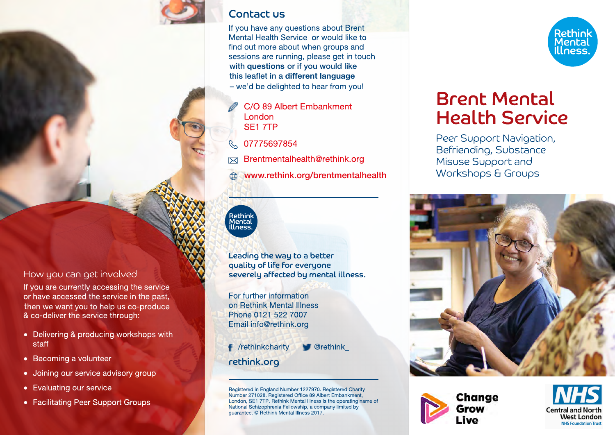

### **Contact us**

If you have any questions about Brent Mental Health Service or would like to find out more about when groups and sessions are running, please get in touch with auestions or if you would like this leaflet in a different language - we'd be delighted to hear from you!

- C/O 89 Albert Embankment London SE17TP
- 07775697854  $\mathcal{C}$
- Brentmentalhealth@rethink.org

www.rethink.org/brentmentalhealth

# Rethi<mark>nk</mark><br>Mental<br>Illness.

Leading the way to a better quality of life for everyone severely affected by mental illness.

For further information on Rethink Mental Illness Phone 0121 522 7007 Email info@rethink.org

F /rethinkcharity  $\blacksquare$  @rethink rethink.org

Registered in England Number 1227970. Registered Charity Number 271028. Registered Office 89 Albert Embankment, London, SE1 7TP. Rethink Mental Illness is the operating name of National Schizophrenia Fellowship, a company limited by quarantee. © Rethink Mental Illness 2017.



# **Brent Mental Health Service**

Peer Support Navigation, Befriending, Substance Misuse Support and Workshops & Groups







### How you can get involved

If you are currently accessing the service or have accessed the service in the past, then we want you to help us co-produce & co-deliver the service through:

- Delivering & producing workshops with staff
- Becoming a volunteer
- Joining our service advisory group
- Evaluating our service
- Facilitating Peer Support Groups